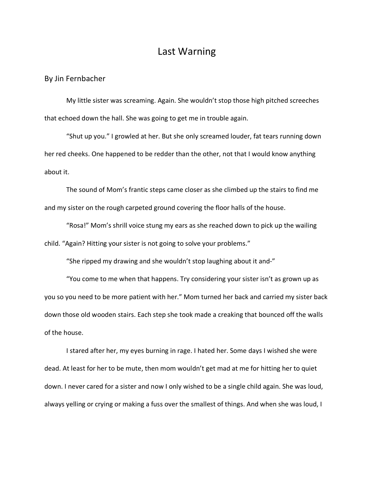## Last Warning

By Jin Fernbacher

My little sister was screaming. Again. She wouldn't stop those high pitched screeches that echoed down the hall. She was going to get me in trouble again.

"Shut up you." I growled at her. But she only screamed louder, fat tears running down her red cheeks. One happened to be redder than the other, not that I would know anything about it.

The sound of Mom's frantic steps came closer as she climbed up the stairs to find me and my sister on the rough carpeted ground covering the floor halls of the house.

"Rosa!" Mom's shrill voice stung my ears as she reached down to pick up the wailing child. "Again? Hitting your sister is not going to solve your problems."

"She ripped my drawing and she wouldn't stop laughing about it and-"

"You come to me when that happens. Try considering your sister isn't as grown up as you so you need to be more patient with her." Mom turned her back and carried my sister back down those old wooden stairs. Each step she took made a creaking that bounced off the walls of the house.

I stared after her, my eyes burning in rage. I hated her. Some days I wished she were dead. At least for her to be mute, then mom wouldn't get mad at me for hitting her to quiet down. I never cared for a sister and now I only wished to be a single child again. She was loud, always yelling or crying or making a fuss over the smallest of things. And when she was loud, I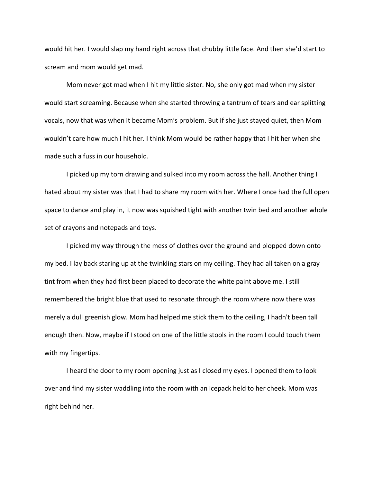would hit her. I would slap my hand right across that chubby little face. And then she'd start to scream and mom would get mad.

Mom never got mad when I hit my little sister. No, she only got mad when my sister would start screaming. Because when she started throwing a tantrum of tears and ear splitting vocals, now that was when it became Mom's problem. But if she just stayed quiet, then Mom wouldn't care how much I hit her. I think Mom would be rather happy that I hit her when she made such a fuss in our household.

I picked up my torn drawing and sulked into my room across the hall. Another thing I hated about my sister was that I had to share my room with her. Where I once had the full open space to dance and play in, it now was squished tight with another twin bed and another whole set of crayons and notepads and toys.

I picked my way through the mess of clothes over the ground and plopped down onto my bed. I lay back staring up at the twinkling stars on my ceiling. They had all taken on a gray tint from when they had first been placed to decorate the white paint above me. I still remembered the bright blue that used to resonate through the room where now there was merely a dull greenish glow. Mom had helped me stick them to the ceiling, I hadn't been tall enough then. Now, maybe if I stood on one of the little stools in the room I could touch them with my fingertips.

I heard the door to my room opening just as I closed my eyes. I opened them to look over and find my sister waddling into the room with an icepack held to her cheek. Mom was right behind her.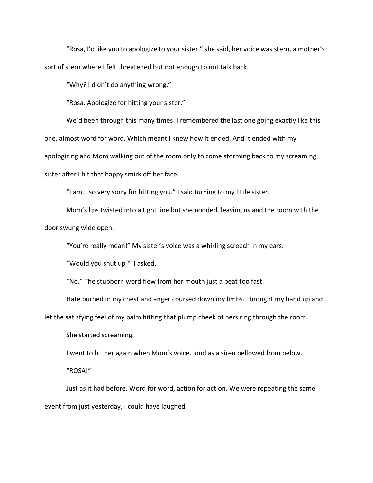"Rosa, I'd like you to apologize to your sister." she said, her voice was stern, a mother's sort of stern where I felt threatened but not enough to not talk back.

"Why? I didn't do anything wrong."

"Rosa. Apologize for hitting your sister."

We'd been through this many times. I remembered the last one going exactly like this one, almost word for word. Which meant I knew how it ended. And it ended with my apologizing and Mom walking out of the room only to come storming back to my screaming sister after I hit that happy smirk off her face.

"I am… so very sorry for hitting you." I said turning to my little sister.

Mom's lips twisted into a tight line but she nodded, leaving us and the room with the door swung wide open.

"You're really mean!" My sister's voice was a whirling screech in my ears.

"Would you shut up?" I asked.

"No." The stubborn word flew from her mouth just a beat too fast.

Hate burned in my chest and anger coursed down my limbs. I brought my hand up and

let the satisfying feel of my palm hitting that plump cheek of hers ring through the room.

She started screaming.

I went to hit her again when Mom's voice, loud as a siren bellowed from below.

"ROSA!"

Just as it had before. Word for word, action for action. We were repeating the same event from just yesterday, I could have laughed.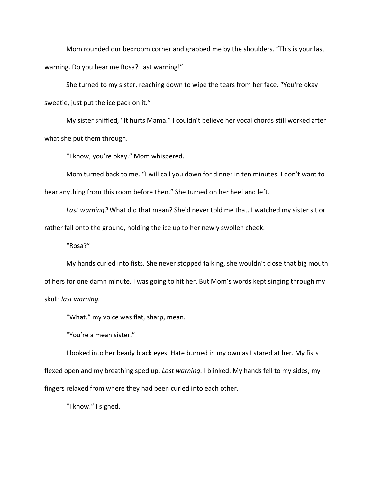Mom rounded our bedroom corner and grabbed me by the shoulders. "This is your last warning. Do you hear me Rosa? Last warning!"

She turned to my sister, reaching down to wipe the tears from her face. "You're okay sweetie, just put the ice pack on it."

My sister sniffled, "It hurts Mama." I couldn't believe her vocal chords still worked after what she put them through.

"I know, you're okay." Mom whispered.

Mom turned back to me. "I will call you down for dinner in ten minutes. I don't want to hear anything from this room before then." She turned on her heel and left.

*Last warning?* What did that mean? She'd never told me that. I watched my sister sit or rather fall onto the ground, holding the ice up to her newly swollen cheek.

"Rosa?"

My hands curled into fists. She never stopped talking, she wouldn't close that big mouth of hers for one damn minute. I was going to hit her. But Mom's words kept singing through my skull: *last warning.*

"What." my voice was flat, sharp, mean.

"You're a mean sister."

I looked into her beady black eyes. Hate burned in my own as I stared at her. My fists flexed open and my breathing sped up. *Last warning.* I blinked. My hands fell to my sides, my fingers relaxed from where they had been curled into each other.

"I know." I sighed.